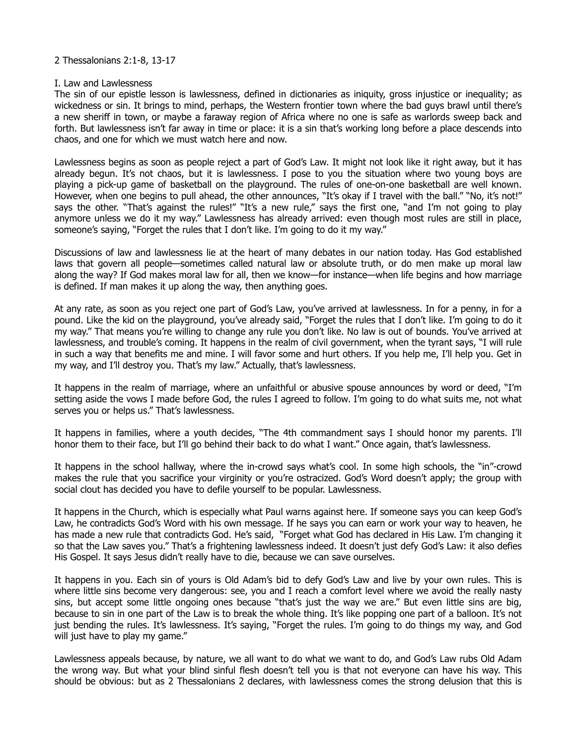## 2 Thessalonians 2:1-8, 13-17

## I. Law and Lawlessness

The sin of our epistle lesson is lawlessness, defined in dictionaries as iniquity, gross injustice or inequality; as wickedness or sin. It brings to mind, perhaps, the Western frontier town where the bad guys brawl until there's a new sheriff in town, or maybe a faraway region of Africa where no one is safe as warlords sweep back and forth. But lawlessness isn't far away in time or place: it is a sin that's working long before a place descends into chaos, and one for which we must watch here and now.

Lawlessness begins as soon as people reject a part of God's Law. It might not look like it right away, but it has already begun. It's not chaos, but it is lawlessness. I pose to you the situation where two young boys are playing a pick-up game of basketball on the playground. The rules of one-on-one basketball are well known. However, when one begins to pull ahead, the other announces, "It's okay if I travel with the ball." "No, it's not!" says the other. "That's against the rules!" "It's a new rule," says the first one, "and I'm not going to play anymore unless we do it my way." Lawlessness has already arrived: even though most rules are still in place, someone's saying, "Forget the rules that I don't like. I'm going to do it my way."

Discussions of law and lawlessness lie at the heart of many debates in our nation today. Has God established laws that govern all people—sometimes called natural law or absolute truth, or do men make up moral law along the way? If God makes moral law for all, then we know—for instance—when life begins and how marriage is defined. If man makes it up along the way, then anything goes.

At any rate, as soon as you reject one part of God's Law, you've arrived at lawlessness. In for a penny, in for a pound. Like the kid on the playground, you've already said, "Forget the rules that I don't like. I'm going to do it my way." That means you're willing to change any rule you don't like. No law is out of bounds. You've arrived at lawlessness, and trouble's coming. It happens in the realm of civil government, when the tyrant says, "I will rule in such a way that benefits me and mine. I will favor some and hurt others. If you help me, I'll help you. Get in my way, and I'll destroy you. That's my law." Actually, that's lawlessness.

It happens in the realm of marriage, where an unfaithful or abusive spouse announces by word or deed, "I'm setting aside the vows I made before God, the rules I agreed to follow. I'm going to do what suits me, not what serves you or helps us." That's lawlessness.

It happens in families, where a youth decides, "The 4th commandment says I should honor my parents. I'll honor them to their face, but I'll go behind their back to do what I want." Once again, that's lawlessness.

It happens in the school hallway, where the in-crowd says what's cool. In some high schools, the "in"-crowd makes the rule that you sacrifice your virginity or you're ostracized. God's Word doesn't apply; the group with social clout has decided you have to defile yourself to be popular. Lawlessness.

It happens in the Church, which is especially what Paul warns against here. If someone says you can keep God's Law, he contradicts God's Word with his own message. If he says you can earn or work your way to heaven, he has made a new rule that contradicts God. He's said, "Forget what God has declared in His Law. I'm changing it so that the Law saves you." That's a frightening lawlessness indeed. It doesn't just defy God's Law: it also defies His Gospel. It says Jesus didn't really have to die, because we can save ourselves.

It happens in you. Each sin of yours is Old Adam's bid to defy God's Law and live by your own rules. This is where little sins become very dangerous: see, you and I reach a comfort level where we avoid the really nasty sins, but accept some little ongoing ones because "that's just the way we are." But even little sins are big, because to sin in one part of the Law is to break the whole thing. It's like popping one part of a balloon. It's not just bending the rules. It's lawlessness. It's saying, "Forget the rules. I'm going to do things my way, and God will just have to play my game."

Lawlessness appeals because, by nature, we all want to do what we want to do, and God's Law rubs Old Adam the wrong way. But what your blind sinful flesh doesn't tell you is that not everyone can have his way. This should be obvious: but as 2 Thessalonians 2 declares, with lawlessness comes the strong delusion that this is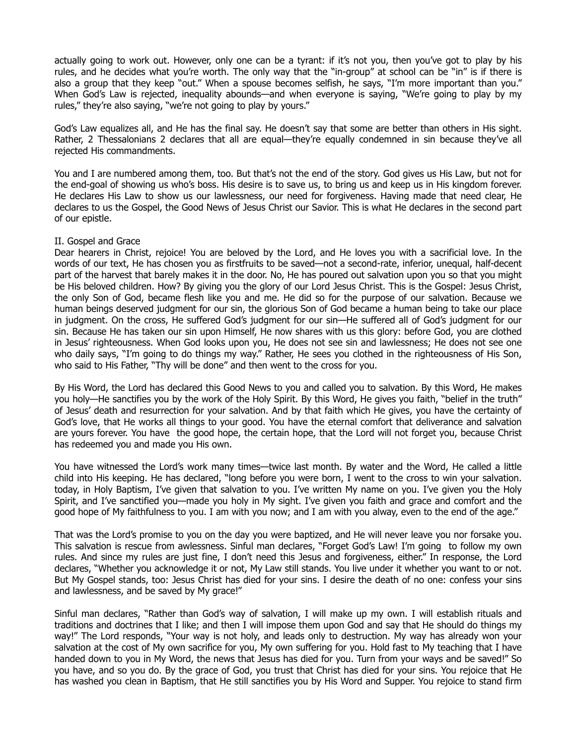actually going to work out. However, only one can be a tyrant: if it's not you, then you've got to play by his rules, and he decides what you're worth. The only way that the "in-group" at school can be "in" is if there is also a group that they keep "out." When a spouse becomes selfish, he says, "I'm more important than you." When God's Law is rejected, inequality abounds—and when everyone is saying, "We're going to play by my rules," they're also saying, "we're not going to play by yours."

God's Law equalizes all, and He has the final say. He doesn't say that some are better than others in His sight. Rather, 2 Thessalonians 2 declares that all are equal—they're equally condemned in sin because they've all rejected His commandments.

You and I are numbered among them, too. But that's not the end of the story. God gives us His Law, but not for the end-goal of showing us who's boss. His desire is to save us, to bring us and keep us in His kingdom forever. He declares His Law to show us our lawlessness, our need for forgiveness. Having made that need clear, He declares to us the Gospel, the Good News of Jesus Christ our Savior. This is what He declares in the second part of our epistle.

## II. Gospel and Grace

Dear hearers in Christ, rejoice! You are beloved by the Lord, and He loves you with a sacrificial love. In the words of our text, He has chosen you as firstfruits to be saved—not a second-rate, inferior, unequal, half-decent part of the harvest that barely makes it in the door. No, He has poured out salvation upon you so that you might be His beloved children. How? By giving you the glory of our Lord Jesus Christ. This is the Gospel: Jesus Christ, the only Son of God, became flesh like you and me. He did so for the purpose of our salvation. Because we human beings deserved judgment for our sin, the glorious Son of God became a human being to take our place in judgment. On the cross, He suffered God's judgment for our sin—He suffered all of God's judgment for our sin. Because He has taken our sin upon Himself, He now shares with us this glory: before God, you are clothed in Jesus' righteousness. When God looks upon you, He does not see sin and lawlessness; He does not see one who daily says, "I'm going to do things my way." Rather, He sees you clothed in the righteousness of His Son, who said to His Father, "Thy will be done" and then went to the cross for you.

By His Word, the Lord has declared this Good News to you and called you to salvation. By this Word, He makes you holy—He sanctifies you by the work of the Holy Spirit. By this Word, He gives you faith, "belief in the truth" of Jesus' death and resurrection for your salvation. And by that faith which He gives, you have the certainty of God's love, that He works all things to your good. You have the eternal comfort that deliverance and salvation are yours forever. You have the good hope, the certain hope, that the Lord will not forget you, because Christ has redeemed you and made you His own.

You have witnessed the Lord's work many times—twice last month. By water and the Word, He called a little child into His keeping. He has declared, "long before you were born, I went to the cross to win your salvation. today, in Holy Baptism, I've given that salvation to you. I've written My name on you. I've given you the Holy Spirit, and I've sanctified you—made you holy in My sight. I've given you faith and grace and comfort and the good hope of My faithfulness to you. I am with you now; and I am with you alway, even to the end of the age."

That was the Lord's promise to you on the day you were baptized, and He will never leave you nor forsake you. This salvation is rescue from awlessness. Sinful man declares, "Forget God's Law! I'm going to follow my own rules. And since my rules are just fine, I don't need this Jesus and forgiveness, either." In response, the Lord declares, "Whether you acknowledge it or not, My Law still stands. You live under it whether you want to or not. But My Gospel stands, too: Jesus Christ has died for your sins. I desire the death of no one: confess your sins and lawlessness, and be saved by My grace!"

Sinful man declares, "Rather than God's way of salvation, I will make up my own. I will establish rituals and traditions and doctrines that I like; and then I will impose them upon God and say that He should do things my way!" The Lord responds, "Your way is not holy, and leads only to destruction. My way has already won your salvation at the cost of My own sacrifice for you, My own suffering for you. Hold fast to My teaching that I have handed down to you in My Word, the news that Jesus has died for you. Turn from your ways and be saved!" So you have, and so you do. By the grace of God, you trust that Christ has died for your sins. You rejoice that He has washed you clean in Baptism, that He still sanctifies you by His Word and Supper. You rejoice to stand firm